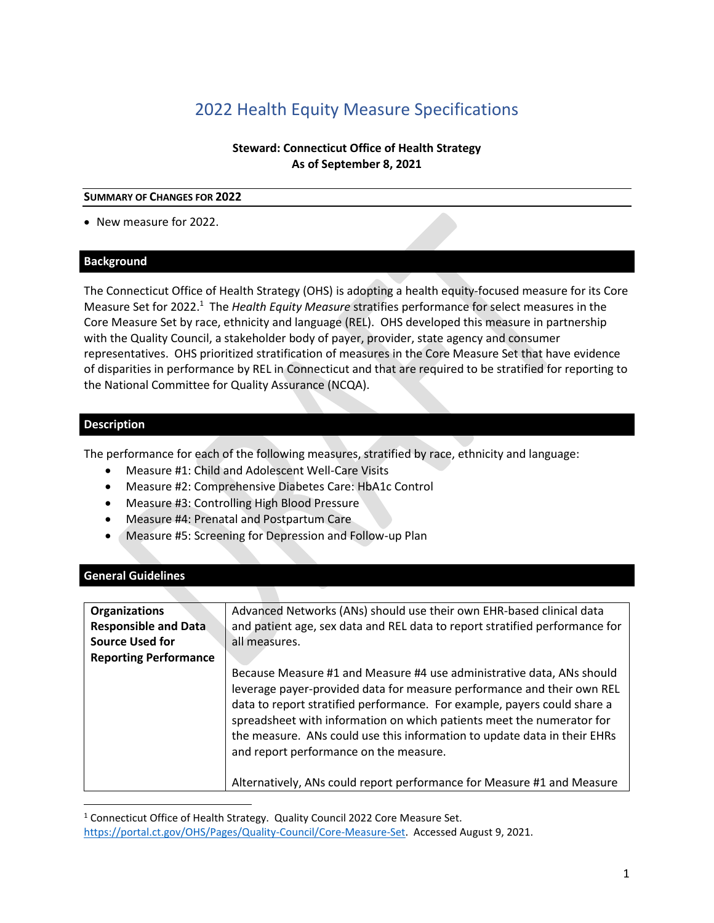# 2022 Health Equity Measure Specifications

### **Steward: Connecticut Office of Health Strategy As of September 8, 2021**

#### **SUMMARY OF CHANGES FOR 2022**

• New measure for 2022.

#### **Background**

The Connecticut Office of Health Strategy (OHS) is adopting a health equity-focused measure for its Core Measure Set for 2022.<sup>1</sup> The *Health Equity Measure* stratifies performance for select measures in the Core Measure Set by race, ethnicity and language (REL). OHS developed this measure in partnership with the Quality Council, a stakeholder body of payer, provider, state agency and consumer representatives. OHS prioritized stratification of measures in the Core Measure Set that have evidence of disparities in performance by REL in Connecticut and that are required to be stratified for reporting to the National Committee for Quality Assurance (NCQA).

#### **Description**

The performance for each of the following measures, stratified by race, ethnicity and language:

- Measure #1: Child and Adolescent Well-Care Visits
- Measure #2: Comprehensive Diabetes Care: HbA1c Control
- Measure #3: Controlling High Blood Pressure
- Measure #4: Prenatal and Postpartum Care
- Measure #5: Screening for Depression and Follow-up Plan

### **General Guidelines**

| <b>Organizations</b>         | Advanced Networks (ANs) should use their own EHR-based clinical data                                                                                                                                                                                                                                                                                                                                                                                                                                 |
|------------------------------|------------------------------------------------------------------------------------------------------------------------------------------------------------------------------------------------------------------------------------------------------------------------------------------------------------------------------------------------------------------------------------------------------------------------------------------------------------------------------------------------------|
| <b>Responsible and Data</b>  | and patient age, sex data and REL data to report stratified performance for                                                                                                                                                                                                                                                                                                                                                                                                                          |
| <b>Source Used for</b>       | all measures.                                                                                                                                                                                                                                                                                                                                                                                                                                                                                        |
| <b>Reporting Performance</b> |                                                                                                                                                                                                                                                                                                                                                                                                                                                                                                      |
|                              | Because Measure #1 and Measure #4 use administrative data, ANs should<br>leverage payer-provided data for measure performance and their own REL<br>data to report stratified performance. For example, payers could share a<br>spreadsheet with information on which patients meet the numerator for<br>the measure. ANs could use this information to update data in their EHRs<br>and report performance on the measure.<br>Alternatively, ANs could report performance for Measure #1 and Measure |

<sup>&</sup>lt;sup>1</sup> Connecticut Office of Health Strategy. Quality Council 2022 Core Measure Set. [https://portal.ct.gov/OHS/Pages/Quality-Council/Core-Measure-Set.](https://portal.ct.gov/OHS/Pages/Quality-Council/Core-Measure-Set) Accessed August 9, 2021.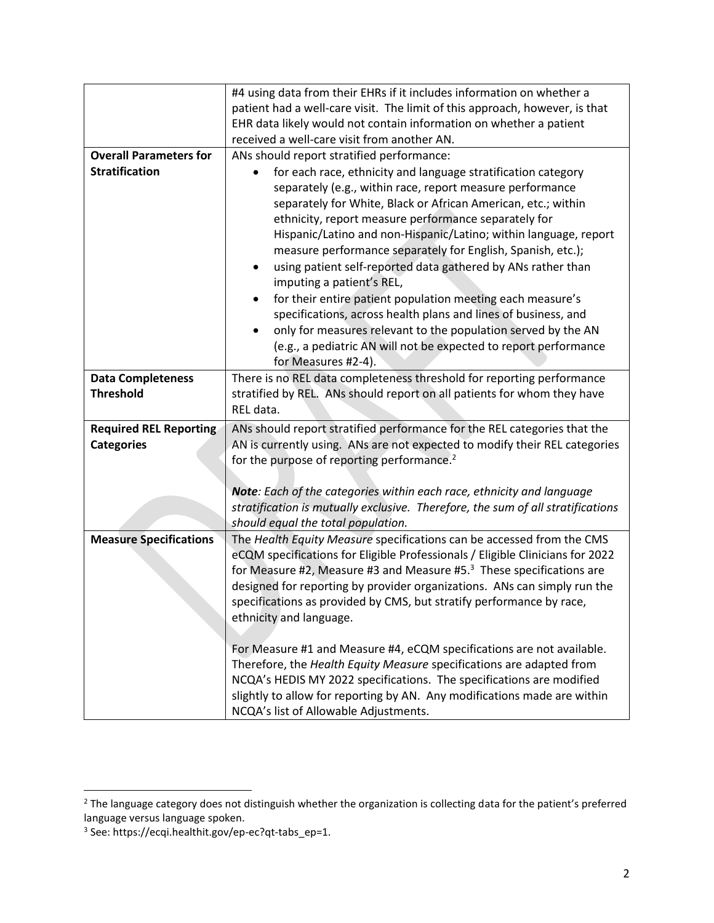|                               | #4 using data from their EHRs if it includes information on whether a                                             |
|-------------------------------|-------------------------------------------------------------------------------------------------------------------|
|                               | patient had a well-care visit. The limit of this approach, however, is that                                       |
|                               | EHR data likely would not contain information on whether a patient                                                |
|                               | received a well-care visit from another AN.                                                                       |
| <b>Overall Parameters for</b> | ANs should report stratified performance:                                                                         |
| <b>Stratification</b>         | for each race, ethnicity and language stratification category                                                     |
|                               | separately (e.g., within race, report measure performance                                                         |
|                               | separately for White, Black or African American, etc.; within                                                     |
|                               | ethnicity, report measure performance separately for                                                              |
|                               | Hispanic/Latino and non-Hispanic/Latino; within language, report                                                  |
|                               | measure performance separately for English, Spanish, etc.);                                                       |
|                               | using patient self-reported data gathered by ANs rather than<br>٠                                                 |
|                               | imputing a patient's REL,                                                                                         |
|                               | for their entire patient population meeting each measure's                                                        |
|                               | specifications, across health plans and lines of business, and                                                    |
|                               | only for measures relevant to the population served by the AN<br>$\bullet$                                        |
|                               | (e.g., a pediatric AN will not be expected to report performance                                                  |
|                               | for Measures #2-4).                                                                                               |
| <b>Data Completeness</b>      | There is no REL data completeness threshold for reporting performance                                             |
| <b>Threshold</b>              | stratified by REL. ANs should report on all patients for whom they have                                           |
|                               | REL data.                                                                                                         |
|                               |                                                                                                                   |
| <b>Required REL Reporting</b> | ANs should report stratified performance for the REL categories that the                                          |
| <b>Categories</b>             | AN is currently using. ANs are not expected to modify their REL categories                                        |
|                               | for the purpose of reporting performance. <sup>2</sup>                                                            |
|                               |                                                                                                                   |
|                               | Note: Each of the categories within each race, ethnicity and language                                             |
|                               | stratification is mutually exclusive. Therefore, the sum of all stratifications                                   |
|                               | should equal the total population.                                                                                |
| <b>Measure Specifications</b> | The Health Equity Measure specifications can be accessed from the CMS                                             |
|                               | eCQM specifications for Eligible Professionals / Eligible Clinicians for 2022                                     |
|                               | for Measure #2, Measure #3 and Measure #5. $3$ These specifications are                                           |
|                               | designed for reporting by provider organizations. ANs can simply run the                                          |
|                               |                                                                                                                   |
|                               | specifications as provided by CMS, but stratify performance by race                                               |
|                               | ethnicity and language.                                                                                           |
|                               |                                                                                                                   |
|                               | For Measure #1 and Measure #4, eCQM specifications are not available.                                             |
|                               | Therefore, the Health Equity Measure specifications are adapted from                                              |
|                               | NCQA's HEDIS MY 2022 specifications. The specifications are modified                                              |
|                               | slightly to allow for reporting by AN. Any modifications made are within<br>NCQA's list of Allowable Adjustments. |

<sup>&</sup>lt;sup>2</sup> The language category does not distinguish whether the organization is collecting data for the patient's preferred language versus language spoken.

<sup>3</sup> See: https://ecqi.healthit.gov/ep-ec?qt-tabs\_ep=1.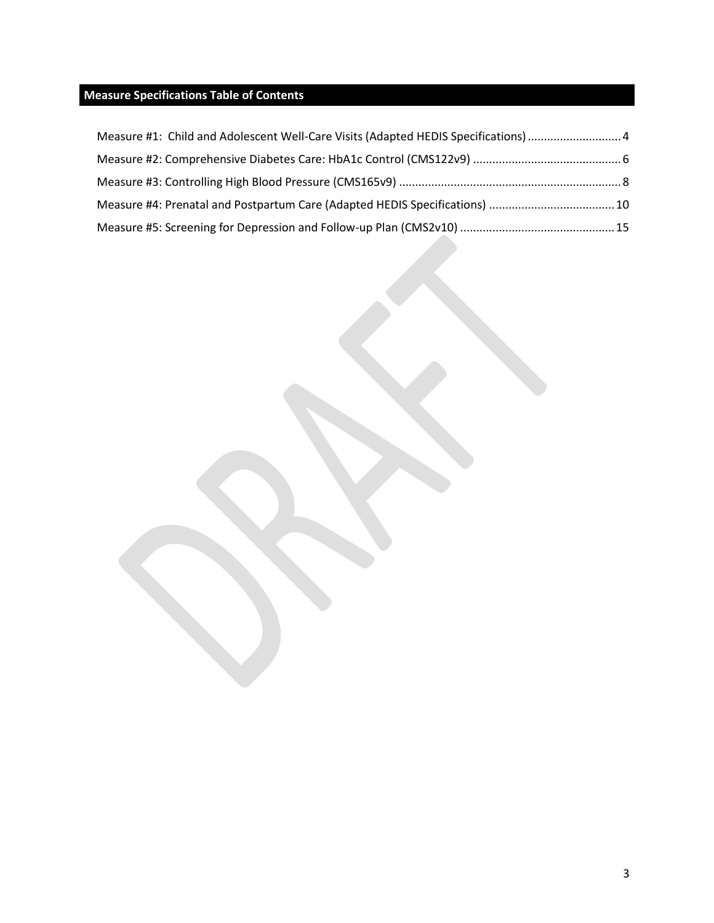### **Measure Specifications Table of Contents**

| Measure #1: Child and Adolescent Well-Care Visits (Adapted HEDIS Specifications)  4 |  |
|-------------------------------------------------------------------------------------|--|
|                                                                                     |  |
|                                                                                     |  |
| Measure #4: Prenatal and Postpartum Care (Adapted HEDIS Specifications)  10         |  |
|                                                                                     |  |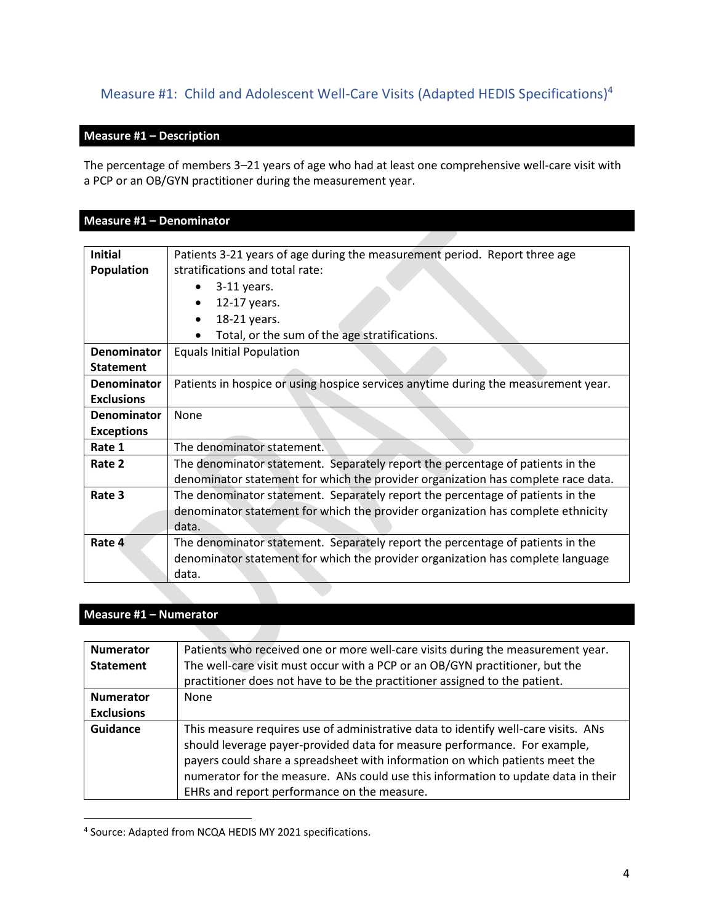# <span id="page-3-0"></span>Measure #1: Child and Adolescent Well-Care Visits (Adapted HEDIS Specifications)<sup>4</sup>

#### **Measure #1 – Description**

The percentage of members 3–21 years of age who had at least one comprehensive well-care visit with a PCP or an OB/GYN practitioner during the measurement year.

### **Measure #1 – Denominator**

| <b>Initial</b>     | Patients 3-21 years of age during the measurement period. Report three age         |
|--------------------|------------------------------------------------------------------------------------|
| <b>Population</b>  | stratifications and total rate:                                                    |
|                    | $3-11$ years.                                                                      |
|                    | 12-17 years.                                                                       |
|                    | 18-21 years.                                                                       |
|                    | Total, or the sum of the age stratifications.                                      |
| Denominator        | <b>Equals Initial Population</b>                                                   |
| <b>Statement</b>   |                                                                                    |
| <b>Denominator</b> | Patients in hospice or using hospice services anytime during the measurement year. |
| <b>Exclusions</b>  |                                                                                    |
| <b>Denominator</b> | None                                                                               |
| <b>Exceptions</b>  |                                                                                    |
| Rate 1             | The denominator statement.                                                         |
| Rate 2             | The denominator statement. Separately report the percentage of patients in the     |
|                    | denominator statement for which the provider organization has complete race data.  |
| Rate 3             | The denominator statement. Separately report the percentage of patients in the     |
|                    | denominator statement for which the provider organization has complete ethnicity   |
|                    | data.                                                                              |
| Rate 4             | The denominator statement. Separately report the percentage of patients in the     |
|                    | denominator statement for which the provider organization has complete language    |
|                    | data.                                                                              |

### **Measure #1 – Numerator**

| <b>Numerator</b>  | Patients who received one or more well-care visits during the measurement year.                                                                                                                                                                                                                                                                                                     |
|-------------------|-------------------------------------------------------------------------------------------------------------------------------------------------------------------------------------------------------------------------------------------------------------------------------------------------------------------------------------------------------------------------------------|
| <b>Statement</b>  | The well-care visit must occur with a PCP or an OB/GYN practitioner, but the                                                                                                                                                                                                                                                                                                        |
|                   | practitioner does not have to be the practitioner assigned to the patient.                                                                                                                                                                                                                                                                                                          |
| <b>Numerator</b>  | None                                                                                                                                                                                                                                                                                                                                                                                |
| <b>Exclusions</b> |                                                                                                                                                                                                                                                                                                                                                                                     |
| <b>Guidance</b>   | This measure requires use of administrative data to identify well-care visits. ANs<br>should leverage payer-provided data for measure performance. For example,<br>payers could share a spreadsheet with information on which patients meet the<br>numerator for the measure. ANs could use this information to update data in their<br>EHRs and report performance on the measure. |

<sup>4</sup> Source: Adapted from NCQA HEDIS MY 2021 specifications.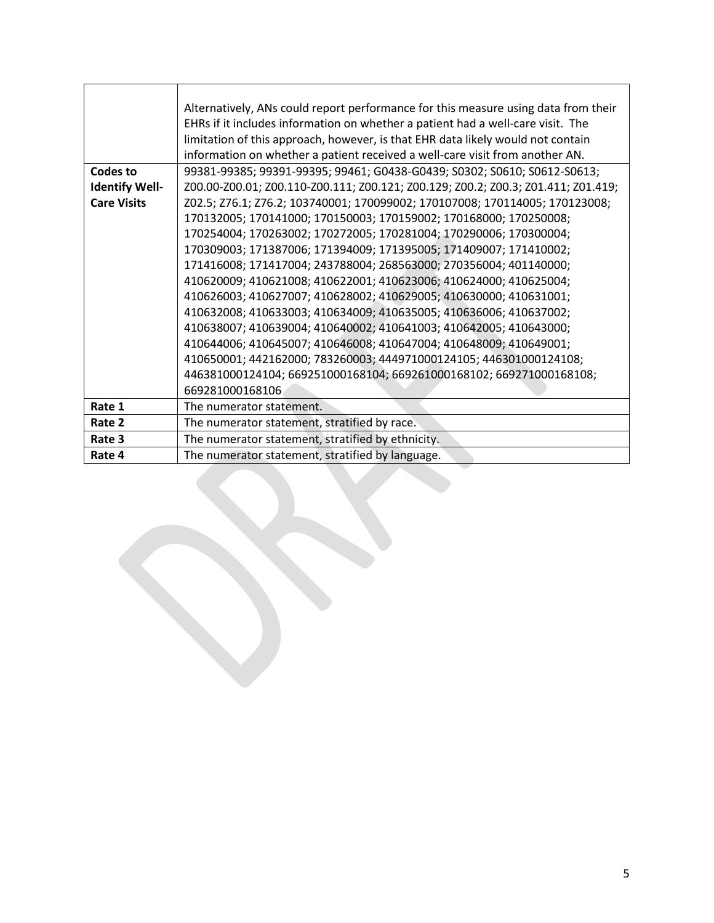|                       | Alternatively, ANs could report performance for this measure using data from their |
|-----------------------|------------------------------------------------------------------------------------|
|                       | EHRs if it includes information on whether a patient had a well-care visit. The    |
|                       | limitation of this approach, however, is that EHR data likely would not contain    |
|                       | information on whether a patient received a well-care visit from another AN.       |
| Codes to              | 99381-99385; 99391-99395; 99461; G0438-G0439; S0302; S0610; S0612-S0613;           |
| <b>Identify Well-</b> | Z00.00-Z00.01; Z00.110-Z00.111; Z00.121; Z00.129; Z00.2; Z00.3; Z01.411; Z01.419;  |
| <b>Care Visits</b>    | Z02.5; Z76.1; Z76.2; 103740001; 170099002; 170107008; 170114005; 170123008;        |
|                       | 170132005; 170141000; 170150003; 170159002; 170168000; 170250008;                  |
|                       | 170254004; 170263002; 170272005; 170281004; 170290006; 170300004;                  |
|                       | 170309003; 171387006; 171394009; 171395005; 171409007; 171410002;                  |
|                       | 171416008; 171417004; 243788004; 268563000; 270356004; 401140000;                  |
|                       | 410620009; 410621008; 410622001; 410623006; 410624000; 410625004;                  |
|                       | 410626003; 410627007; 410628002; 410629005; 410630000; 410631001;                  |
|                       | 410632008; 410633003; 410634009; 410635005; 410636006; 410637002;                  |
|                       | 410638007; 410639004; 410640002; 410641003; 410642005; 410643000;                  |
|                       | 410644006; 410645007; 410646008; 410647004; 410648009; 410649001;                  |
|                       | 410650001; 442162000; 783260003; 444971000124105; 446301000124108;                 |
|                       | 446381000124104; 669251000168104; 669261000168102; 669271000168108;                |
|                       | 669281000168106                                                                    |
| Rate 1                | The numerator statement.                                                           |
| Rate 2                | The numerator statement, stratified by race.                                       |
| Rate 3                | The numerator statement, stratified by ethnicity.                                  |
| Rate 4                | The numerator statement, stratified by language.                                   |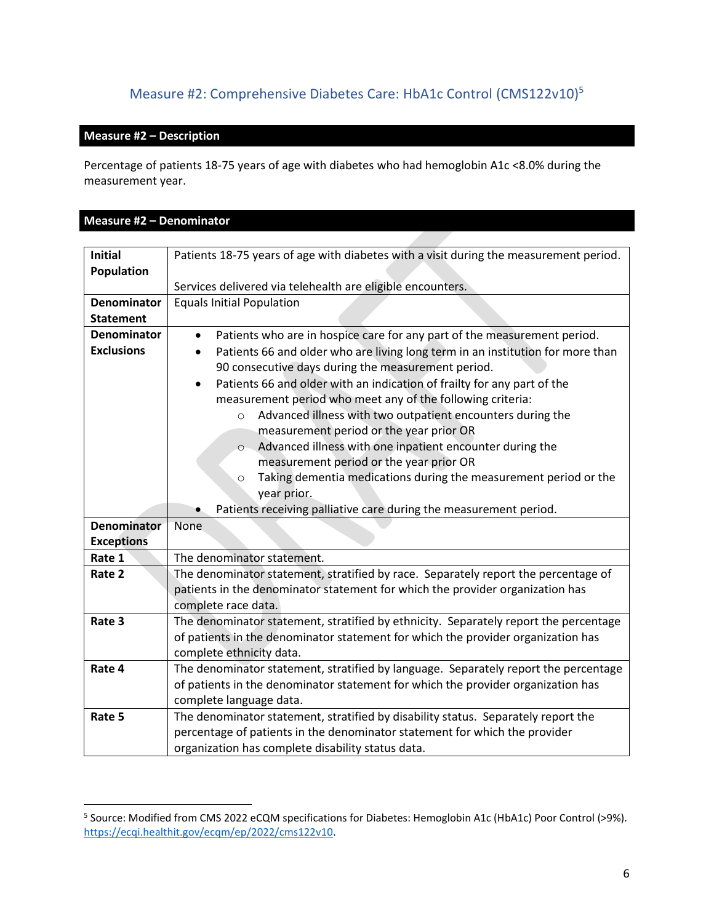# Measure #2: Comprehensive Diabetes Care: HbA1c Control (CMS122v10) 5

### <span id="page-5-0"></span>**Measure #2 – Description**

Percentage of patients 18-75 years of age with diabetes who had hemoglobin A1c <8.0% during the measurement year.

### **Measure #2 – Denominator**

| <b>Initial</b>                          | Patients 18-75 years of age with diabetes with a visit during the measurement period.                                                                                                                                                                                                                                                                                                                                                                                                                                                                                                                                                                                                                                                                                                        |
|-----------------------------------------|----------------------------------------------------------------------------------------------------------------------------------------------------------------------------------------------------------------------------------------------------------------------------------------------------------------------------------------------------------------------------------------------------------------------------------------------------------------------------------------------------------------------------------------------------------------------------------------------------------------------------------------------------------------------------------------------------------------------------------------------------------------------------------------------|
| Population                              | Services delivered via telehealth are eligible encounters.                                                                                                                                                                                                                                                                                                                                                                                                                                                                                                                                                                                                                                                                                                                                   |
| <b>Denominator</b><br><b>Statement</b>  | <b>Equals Initial Population</b>                                                                                                                                                                                                                                                                                                                                                                                                                                                                                                                                                                                                                                                                                                                                                             |
| <b>Denominator</b><br><b>Exclusions</b> | Patients who are in hospice care for any part of the measurement period.<br>$\bullet$<br>Patients 66 and older who are living long term in an institution for more than<br>90 consecutive days during the measurement period.<br>Patients 66 and older with an indication of frailty for any part of the<br>$\bullet$<br>measurement period who meet any of the following criteria:<br>Advanced illness with two outpatient encounters during the<br>$\circ$<br>measurement period or the year prior OR<br>Advanced illness with one inpatient encounter during the<br>$\circ$<br>measurement period or the year prior OR<br>Taking dementia medications during the measurement period or the<br>$\circ$<br>year prior.<br>Patients receiving palliative care during the measurement period. |
| <b>Denominator</b>                      | None                                                                                                                                                                                                                                                                                                                                                                                                                                                                                                                                                                                                                                                                                                                                                                                         |
| <b>Exceptions</b>                       |                                                                                                                                                                                                                                                                                                                                                                                                                                                                                                                                                                                                                                                                                                                                                                                              |
| Rate 1                                  | The denominator statement.                                                                                                                                                                                                                                                                                                                                                                                                                                                                                                                                                                                                                                                                                                                                                                   |
| Rate 2                                  | The denominator statement, stratified by race. Separately report the percentage of<br>patients in the denominator statement for which the provider organization has<br>complete race data.                                                                                                                                                                                                                                                                                                                                                                                                                                                                                                                                                                                                   |
| Rate 3                                  | The denominator statement, stratified by ethnicity. Separately report the percentage<br>of patients in the denominator statement for which the provider organization has<br>complete ethnicity data.                                                                                                                                                                                                                                                                                                                                                                                                                                                                                                                                                                                         |
| Rate 4                                  | The denominator statement, stratified by language. Separately report the percentage<br>of patients in the denominator statement for which the provider organization has<br>complete language data.                                                                                                                                                                                                                                                                                                                                                                                                                                                                                                                                                                                           |
| Rate 5                                  | The denominator statement, stratified by disability status. Separately report the<br>percentage of patients in the denominator statement for which the provider<br>organization has complete disability status data.                                                                                                                                                                                                                                                                                                                                                                                                                                                                                                                                                                         |

<sup>&</sup>lt;sup>5</sup> Source: Modified from CMS 2022 eCQM specifications for Diabetes: Hemoglobin A1c (HbA1c) Poor Control (>9%). [https://ecqi.healthit.gov/ecqm/ep/2022/cms122v10.](https://ecqi.healthit.gov/ecqm/ep/2022/cms122v10)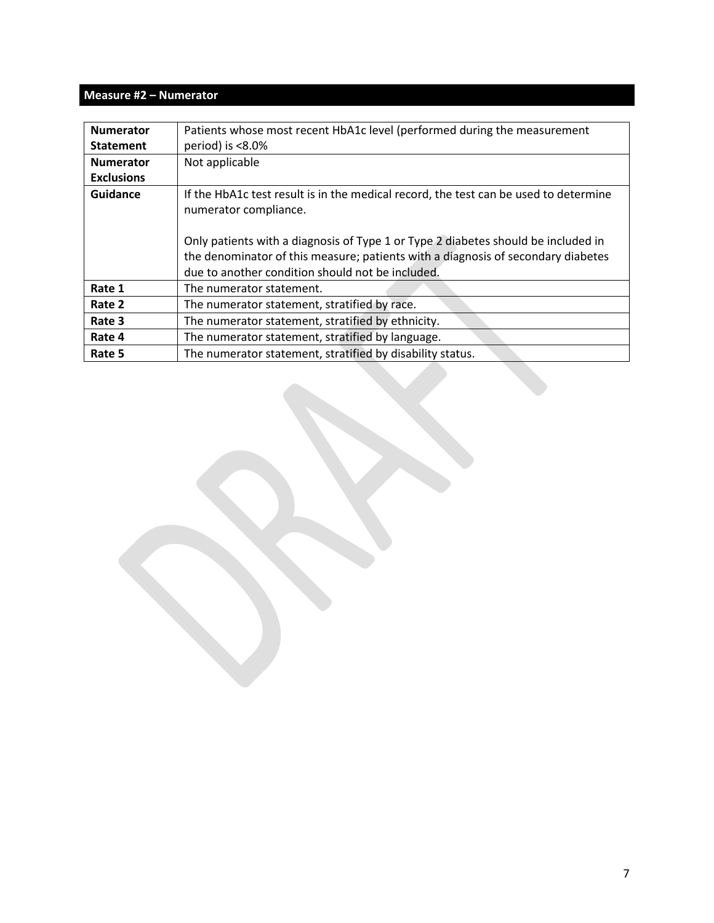### **Measure #2 – Numerator**

| <b>Numerator</b>  | Patients whose most recent HbA1c level (performed during the measurement                                      |
|-------------------|---------------------------------------------------------------------------------------------------------------|
| <b>Statement</b>  | period) is $< 8.0\%$                                                                                          |
| <b>Numerator</b>  | Not applicable                                                                                                |
| <b>Exclusions</b> |                                                                                                               |
| Guidance          | If the HbA1c test result is in the medical record, the test can be used to determine<br>numerator compliance. |
|                   |                                                                                                               |
|                   | Only patients with a diagnosis of Type 1 or Type 2 diabetes should be included in                             |
|                   | the denominator of this measure; patients with a diagnosis of secondary diabetes                              |
|                   | due to another condition should not be included.                                                              |
| Rate 1            | The numerator statement.                                                                                      |
| Rate 2            | The numerator statement, stratified by race.                                                                  |
| Rate 3            | The numerator statement, stratified by ethnicity.                                                             |
| Rate 4            | The numerator statement, stratified by language.                                                              |
| Rate 5            | The numerator statement, stratified by disability status.                                                     |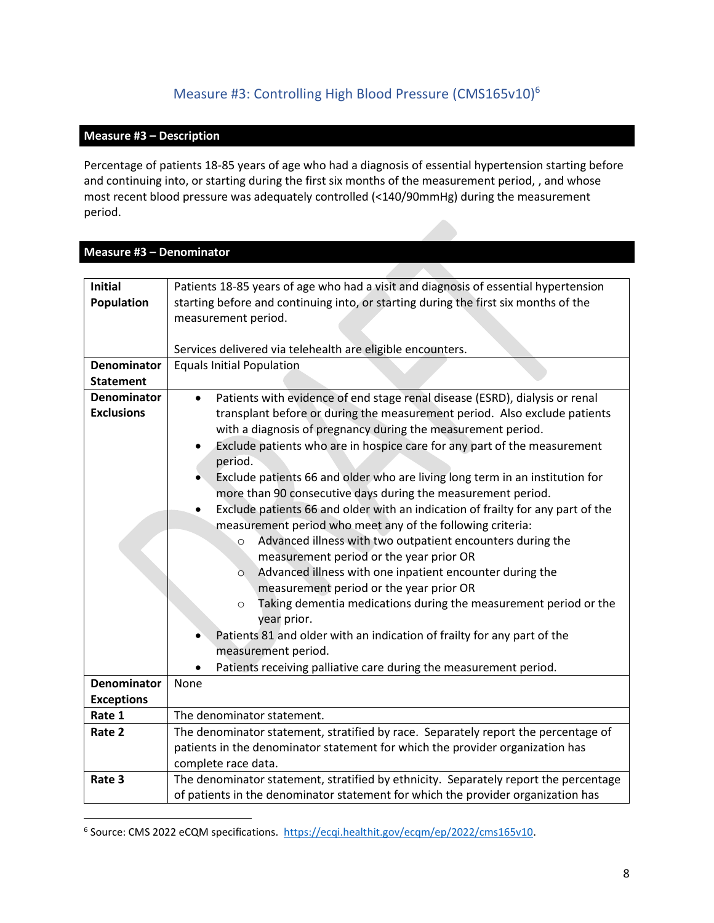# Measure #3: Controlling High Blood Pressure (CMS165v10) 6

#### <span id="page-7-0"></span>**Measure #3 – Description**

Percentage of patients 18-85 years of age who had a diagnosis of essential hypertension starting before and continuing into, or starting during the first six months of the measurement period, , and whose most recent blood pressure was adequately controlled (<140/90mmHg) during the measurement period.

# **Measure #3 – Denominator**

| <b>Initial</b><br>Population            | Patients 18-85 years of age who had a visit and diagnosis of essential hypertension<br>starting before and continuing into, or starting during the first six months of the                                                                                                                                                                                                                                                                                                                                                                                                                                                                                                                                                                                                                                                                                                                                                                           |
|-----------------------------------------|------------------------------------------------------------------------------------------------------------------------------------------------------------------------------------------------------------------------------------------------------------------------------------------------------------------------------------------------------------------------------------------------------------------------------------------------------------------------------------------------------------------------------------------------------------------------------------------------------------------------------------------------------------------------------------------------------------------------------------------------------------------------------------------------------------------------------------------------------------------------------------------------------------------------------------------------------|
|                                         | measurement period.                                                                                                                                                                                                                                                                                                                                                                                                                                                                                                                                                                                                                                                                                                                                                                                                                                                                                                                                  |
|                                         |                                                                                                                                                                                                                                                                                                                                                                                                                                                                                                                                                                                                                                                                                                                                                                                                                                                                                                                                                      |
|                                         | Services delivered via telehealth are eligible encounters.                                                                                                                                                                                                                                                                                                                                                                                                                                                                                                                                                                                                                                                                                                                                                                                                                                                                                           |
| <b>Denominator</b>                      | <b>Equals Initial Population</b>                                                                                                                                                                                                                                                                                                                                                                                                                                                                                                                                                                                                                                                                                                                                                                                                                                                                                                                     |
| <b>Statement</b>                        |                                                                                                                                                                                                                                                                                                                                                                                                                                                                                                                                                                                                                                                                                                                                                                                                                                                                                                                                                      |
| <b>Denominator</b><br><b>Exclusions</b> | Patients with evidence of end stage renal disease (ESRD), dialysis or renal<br>transplant before or during the measurement period. Also exclude patients<br>with a diagnosis of pregnancy during the measurement period.<br>Exclude patients who are in hospice care for any part of the measurement<br>period.<br>Exclude patients 66 and older who are living long term in an institution for<br>more than 90 consecutive days during the measurement period.<br>Exclude patients 66 and older with an indication of frailty for any part of the<br>measurement period who meet any of the following criteria:<br>Advanced illness with two outpatient encounters during the<br>$\circ$<br>measurement period or the year prior OR<br>Advanced illness with one inpatient encounter during the<br>$\circ$<br>measurement period or the year prior OR<br>Taking dementia medications during the measurement period or the<br>$\circ$<br>year prior. |
|                                         | Patients 81 and older with an indication of frailty for any part of the                                                                                                                                                                                                                                                                                                                                                                                                                                                                                                                                                                                                                                                                                                                                                                                                                                                                              |
|                                         | measurement period.                                                                                                                                                                                                                                                                                                                                                                                                                                                                                                                                                                                                                                                                                                                                                                                                                                                                                                                                  |
|                                         | Patients receiving palliative care during the measurement period.                                                                                                                                                                                                                                                                                                                                                                                                                                                                                                                                                                                                                                                                                                                                                                                                                                                                                    |
| <b>Denominator</b>                      | None                                                                                                                                                                                                                                                                                                                                                                                                                                                                                                                                                                                                                                                                                                                                                                                                                                                                                                                                                 |
| <b>Exceptions</b>                       |                                                                                                                                                                                                                                                                                                                                                                                                                                                                                                                                                                                                                                                                                                                                                                                                                                                                                                                                                      |
| Rate 1                                  | The denominator statement.                                                                                                                                                                                                                                                                                                                                                                                                                                                                                                                                                                                                                                                                                                                                                                                                                                                                                                                           |
| Rate 2                                  | The denominator statement, stratified by race. Separately report the percentage of                                                                                                                                                                                                                                                                                                                                                                                                                                                                                                                                                                                                                                                                                                                                                                                                                                                                   |
|                                         | patients in the denominator statement for which the provider organization has                                                                                                                                                                                                                                                                                                                                                                                                                                                                                                                                                                                                                                                                                                                                                                                                                                                                        |
|                                         | complete race data.                                                                                                                                                                                                                                                                                                                                                                                                                                                                                                                                                                                                                                                                                                                                                                                                                                                                                                                                  |
| Rate 3                                  | The denominator statement, stratified by ethnicity. Separately report the percentage                                                                                                                                                                                                                                                                                                                                                                                                                                                                                                                                                                                                                                                                                                                                                                                                                                                                 |
|                                         | of patients in the denominator statement for which the provider organization has                                                                                                                                                                                                                                                                                                                                                                                                                                                                                                                                                                                                                                                                                                                                                                                                                                                                     |

<sup>&</sup>lt;sup>6</sup> Source: CMS 2022 eCQM specifications. [https://ecqi.healthit.gov/ecqm/ep/2022/cms165v10.](https://ecqi.healthit.gov/ecqm/ep/2022/cms165v10)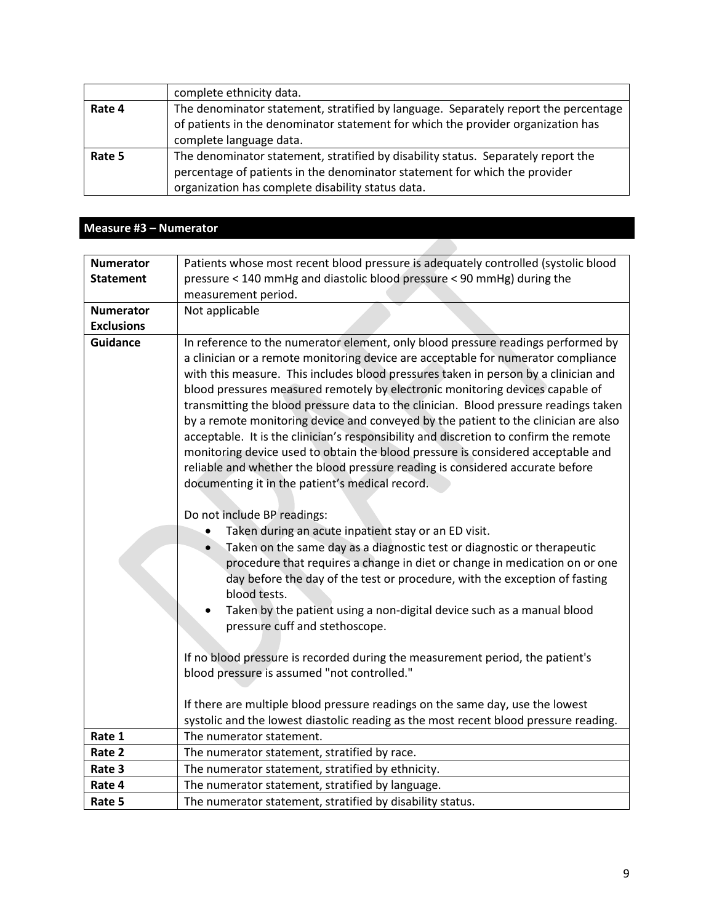|        | complete ethnicity data.                                                                                                                                                                                             |
|--------|----------------------------------------------------------------------------------------------------------------------------------------------------------------------------------------------------------------------|
| Rate 4 | The denominator statement, stratified by language. Separately report the percentage<br>of patients in the denominator statement for which the provider organization has<br>complete language data.                   |
| Rate 5 | The denominator statement, stratified by disability status. Separately report the<br>percentage of patients in the denominator statement for which the provider<br>organization has complete disability status data. |

### **Measure #3 – Numerator**

| <b>Numerator</b>  | Patients whose most recent blood pressure is adequately controlled (systolic blood                                                                                                                                                                                                                                                                                                                                                                                                                                                                                                                                                                                                                                                                                                                                                                                                                                                                                                                                                                                                                                                                                                                                                                                                                                                                                                                                                                                                                                                                                                                                            |
|-------------------|-------------------------------------------------------------------------------------------------------------------------------------------------------------------------------------------------------------------------------------------------------------------------------------------------------------------------------------------------------------------------------------------------------------------------------------------------------------------------------------------------------------------------------------------------------------------------------------------------------------------------------------------------------------------------------------------------------------------------------------------------------------------------------------------------------------------------------------------------------------------------------------------------------------------------------------------------------------------------------------------------------------------------------------------------------------------------------------------------------------------------------------------------------------------------------------------------------------------------------------------------------------------------------------------------------------------------------------------------------------------------------------------------------------------------------------------------------------------------------------------------------------------------------------------------------------------------------------------------------------------------------|
| <b>Statement</b>  | pressure < 140 mmHg and diastolic blood pressure < 90 mmHg) during the                                                                                                                                                                                                                                                                                                                                                                                                                                                                                                                                                                                                                                                                                                                                                                                                                                                                                                                                                                                                                                                                                                                                                                                                                                                                                                                                                                                                                                                                                                                                                        |
|                   | measurement period.                                                                                                                                                                                                                                                                                                                                                                                                                                                                                                                                                                                                                                                                                                                                                                                                                                                                                                                                                                                                                                                                                                                                                                                                                                                                                                                                                                                                                                                                                                                                                                                                           |
| <b>Numerator</b>  | Not applicable                                                                                                                                                                                                                                                                                                                                                                                                                                                                                                                                                                                                                                                                                                                                                                                                                                                                                                                                                                                                                                                                                                                                                                                                                                                                                                                                                                                                                                                                                                                                                                                                                |
| <b>Exclusions</b> |                                                                                                                                                                                                                                                                                                                                                                                                                                                                                                                                                                                                                                                                                                                                                                                                                                                                                                                                                                                                                                                                                                                                                                                                                                                                                                                                                                                                                                                                                                                                                                                                                               |
| <b>Guidance</b>   | In reference to the numerator element, only blood pressure readings performed by<br>a clinician or a remote monitoring device are acceptable for numerator compliance<br>with this measure. This includes blood pressures taken in person by a clinician and<br>blood pressures measured remotely by electronic monitoring devices capable of<br>transmitting the blood pressure data to the clinician. Blood pressure readings taken<br>by a remote monitoring device and conveyed by the patient to the clinician are also<br>acceptable. It is the clinician's responsibility and discretion to confirm the remote<br>monitoring device used to obtain the blood pressure is considered acceptable and<br>reliable and whether the blood pressure reading is considered accurate before<br>documenting it in the patient's medical record.<br>Do not include BP readings:<br>Taken during an acute inpatient stay or an ED visit.<br>Taken on the same day as a diagnostic test or diagnostic or therapeutic<br>$\bullet$<br>procedure that requires a change in diet or change in medication on or one<br>day before the day of the test or procedure, with the exception of fasting<br>blood tests.<br>Taken by the patient using a non-digital device such as a manual blood<br>pressure cuff and stethoscope.<br>If no blood pressure is recorded during the measurement period, the patient's<br>blood pressure is assumed "not controlled."<br>If there are multiple blood pressure readings on the same day, use the lowest<br>systolic and the lowest diastolic reading as the most recent blood pressure reading. |
| Rate 1            | The numerator statement.                                                                                                                                                                                                                                                                                                                                                                                                                                                                                                                                                                                                                                                                                                                                                                                                                                                                                                                                                                                                                                                                                                                                                                                                                                                                                                                                                                                                                                                                                                                                                                                                      |
| Rate 2            | The numerator statement, stratified by race.                                                                                                                                                                                                                                                                                                                                                                                                                                                                                                                                                                                                                                                                                                                                                                                                                                                                                                                                                                                                                                                                                                                                                                                                                                                                                                                                                                                                                                                                                                                                                                                  |
| Rate 3            | The numerator statement, stratified by ethnicity.                                                                                                                                                                                                                                                                                                                                                                                                                                                                                                                                                                                                                                                                                                                                                                                                                                                                                                                                                                                                                                                                                                                                                                                                                                                                                                                                                                                                                                                                                                                                                                             |
| Rate 4            | The numerator statement, stratified by language.                                                                                                                                                                                                                                                                                                                                                                                                                                                                                                                                                                                                                                                                                                                                                                                                                                                                                                                                                                                                                                                                                                                                                                                                                                                                                                                                                                                                                                                                                                                                                                              |
| Rate 5            | The numerator statement, stratified by disability status.                                                                                                                                                                                                                                                                                                                                                                                                                                                                                                                                                                                                                                                                                                                                                                                                                                                                                                                                                                                                                                                                                                                                                                                                                                                                                                                                                                                                                                                                                                                                                                     |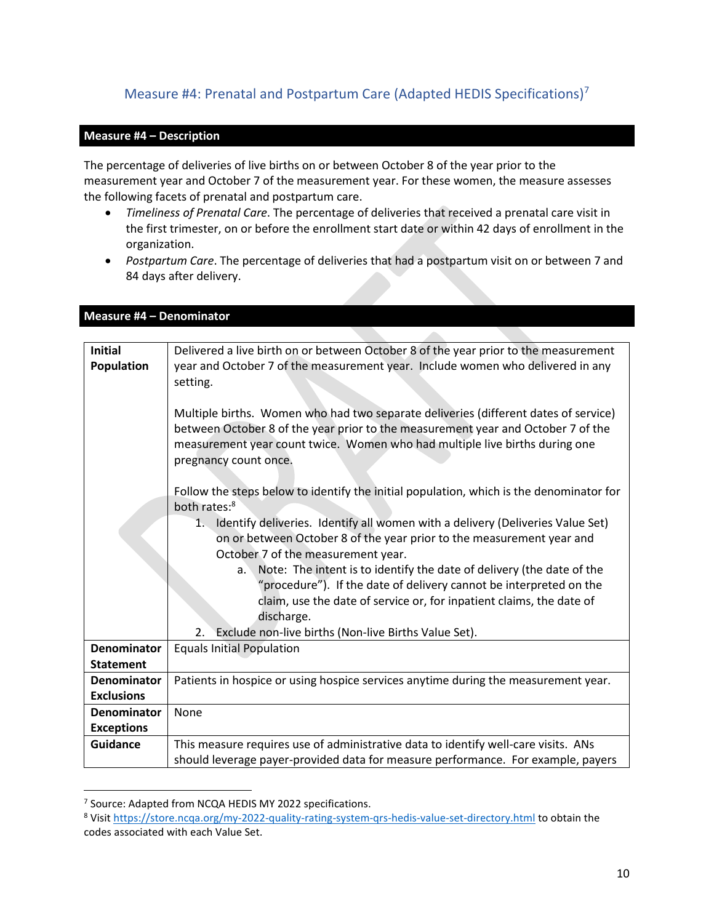# <span id="page-9-0"></span>Measure #4: Prenatal and Postpartum Care (Adapted HEDIS Specifications)<sup>7</sup>

#### **Measure #4 – Description**

The percentage of deliveries of live births on or between October 8 of the year prior to the measurement year and October 7 of the measurement year. For these women, the measure assesses the following facets of prenatal and postpartum care.

- *Timeliness of Prenatal Care*. The percentage of deliveries that received a prenatal care visit in the first trimester, on or before the enrollment start date or within 42 days of enrollment in the organization.
- *Postpartum Care*. The percentage of deliveries that had a postpartum visit on or between 7 and 84 days after delivery.

| <b>Initial</b><br>Delivered a live birth on or between October 8 of the year prior to the measurement<br>year and October 7 of the measurement year. Include women who delivered in any<br>Population<br>setting.                                                               |
|---------------------------------------------------------------------------------------------------------------------------------------------------------------------------------------------------------------------------------------------------------------------------------|
|                                                                                                                                                                                                                                                                                 |
|                                                                                                                                                                                                                                                                                 |
| Multiple births. Women who had two separate deliveries (different dates of service)<br>between October 8 of the year prior to the measurement year and October 7 of the<br>measurement year count twice. Women who had multiple live births during one<br>pregnancy count once. |
| Follow the steps below to identify the initial population, which is the denominator for<br>both rates: <sup>8</sup>                                                                                                                                                             |
| 1. Identify deliveries. Identify all women with a delivery (Deliveries Value Set)<br>on or between October 8 of the year prior to the measurement year and<br>October 7 of the measurement year.                                                                                |
| Note: The intent is to identify the date of delivery (the date of the<br>a.<br>"procedure"). If the date of delivery cannot be interpreted on the<br>claim, use the date of service or, for inpatient claims, the date of<br>discharge.                                         |
| Exclude non-live births (Non-live Births Value Set).<br>2.                                                                                                                                                                                                                      |
| <b>Denominator</b><br><b>Equals Initial Population</b>                                                                                                                                                                                                                          |
| <b>Statement</b>                                                                                                                                                                                                                                                                |
| Patients in hospice or using hospice services anytime during the measurement year.<br><b>Denominator</b>                                                                                                                                                                        |
| <b>Exclusions</b>                                                                                                                                                                                                                                                               |
| <b>Denominator</b><br>None                                                                                                                                                                                                                                                      |
| <b>Exceptions</b>                                                                                                                                                                                                                                                               |
| This measure requires use of administrative data to identify well-care visits. ANs<br><b>Guidance</b><br>should leverage payer-provided data for measure performance. For example, payers                                                                                       |

#### **Measure #4 – Denominator**

<sup>&</sup>lt;sup>7</sup> Source: Adapted from NCQA HEDIS MY 2022 specifications.

<sup>8</sup> Visi[t https://store.ncqa.org/my-2022-quality-rating-system-qrs-hedis-value-set-directory.html](https://store.ncqa.org/my-2022-quality-rating-system-qrs-hedis-value-set-directory.html) to obtain the codes associated with each Value Set.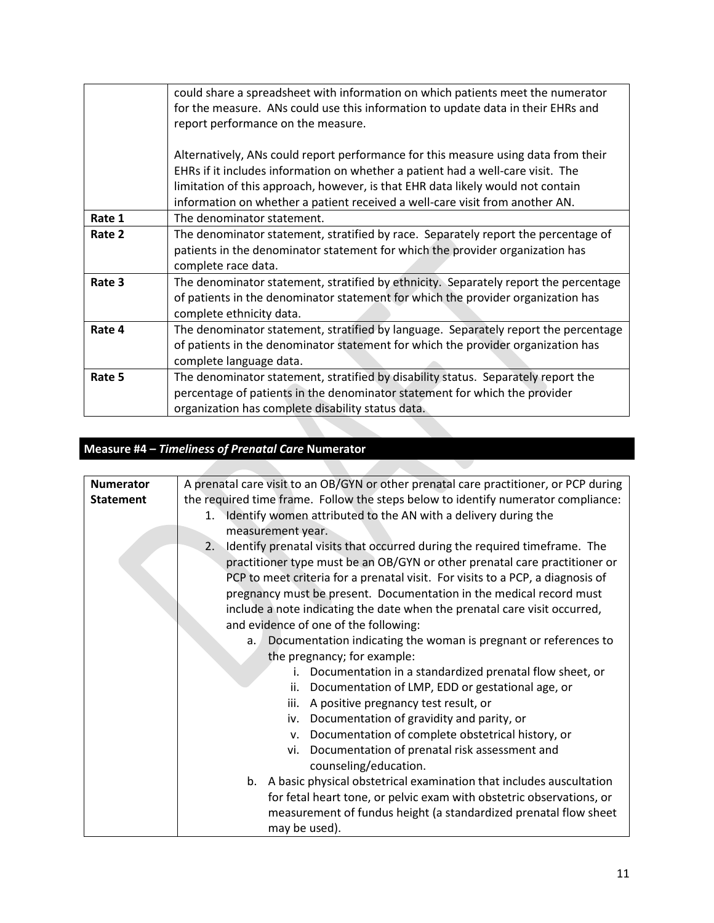|        | could share a spreadsheet with information on which patients meet the numerator<br>for the measure. ANs could use this information to update data in their EHRs and<br>report performance on the measure.            |
|--------|----------------------------------------------------------------------------------------------------------------------------------------------------------------------------------------------------------------------|
|        | Alternatively, ANs could report performance for this measure using data from their<br>EHRs if it includes information on whether a patient had a well-care visit. The                                                |
|        | limitation of this approach, however, is that EHR data likely would not contain<br>information on whether a patient received a well-care visit from another AN.                                                      |
| Rate 1 | The denominator statement.                                                                                                                                                                                           |
| Rate 2 | The denominator statement, stratified by race. Separately report the percentage of<br>patients in the denominator statement for which the provider organization has<br>complete race data.                           |
| Rate 3 | The denominator statement, stratified by ethnicity. Separately report the percentage<br>of patients in the denominator statement for which the provider organization has<br>complete ethnicity data.                 |
| Rate 4 | The denominator statement, stratified by language. Separately report the percentage<br>of patients in the denominator statement for which the provider organization has<br>complete language data.                   |
| Rate 5 | The denominator statement, stratified by disability status. Separately report the<br>percentage of patients in the denominator statement for which the provider<br>organization has complete disability status data. |

# **Measure #4 –** *Timeliness of Prenatal Care* **Numerator**

| <b>Numerator</b> | A prenatal care visit to an OB/GYN or other prenatal care practitioner, or PCP during |
|------------------|---------------------------------------------------------------------------------------|
| <b>Statement</b> | the required time frame. Follow the steps below to identify numerator compliance:     |
|                  | Identify women attributed to the AN with a delivery during the<br>1.                  |
|                  | measurement year.                                                                     |
|                  | Identify prenatal visits that occurred during the required timeframe. The<br>2.       |
|                  | practitioner type must be an OB/GYN or other prenatal care practitioner or            |
|                  | PCP to meet criteria for a prenatal visit. For visits to a PCP, a diagnosis of        |
|                  | pregnancy must be present. Documentation in the medical record must                   |
|                  | include a note indicating the date when the prenatal care visit occurred,             |
|                  | and evidence of one of the following:                                                 |
|                  | Documentation indicating the woman is pregnant or references to<br>a.                 |
|                  | the pregnancy; for example:                                                           |
|                  | Documentation in a standardized prenatal flow sheet, or<br>i.                         |
|                  | Documentation of LMP, EDD or gestational age, or<br>ii.                               |
|                  | A positive pregnancy test result, or<br>iii.                                          |
|                  | Documentation of gravidity and parity, or<br>iv.                                      |
|                  | Documentation of complete obstetrical history, or<br>v.                               |
|                  | vi. Documentation of prenatal risk assessment and                                     |
|                  | counseling/education.                                                                 |
|                  | b. A basic physical obstetrical examination that includes auscultation                |
|                  | for fetal heart tone, or pelvic exam with obstetric observations, or                  |
|                  | measurement of fundus height (a standardized prenatal flow sheet                      |
|                  | may be used).                                                                         |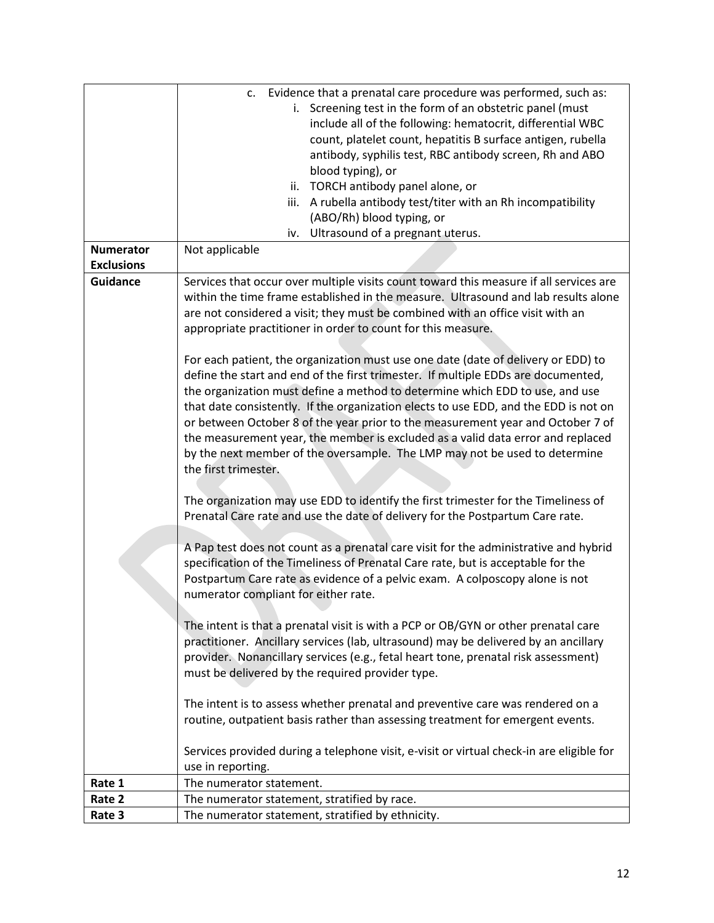|                   | c. Evidence that a prenatal care procedure was performed, such as:                       |
|-------------------|------------------------------------------------------------------------------------------|
|                   | i. Screening test in the form of an obstetric panel (must                                |
|                   | include all of the following: hematocrit, differential WBC                               |
|                   | count, platelet count, hepatitis B surface antigen, rubella                              |
|                   | antibody, syphilis test, RBC antibody screen, Rh and ABO                                 |
|                   | blood typing), or                                                                        |
|                   | ii. TORCH antibody panel alone, or                                                       |
|                   | iii. A rubella antibody test/titer with an Rh incompatibility                            |
|                   |                                                                                          |
|                   | (ABO/Rh) blood typing, or                                                                |
|                   | Ultrasound of a pregnant uterus.<br>iv.                                                  |
| <b>Numerator</b>  | Not applicable                                                                           |
| <b>Exclusions</b> |                                                                                          |
| <b>Guidance</b>   | Services that occur over multiple visits count toward this measure if all services are   |
|                   | within the time frame established in the measure. Ultrasound and lab results alone       |
|                   | are not considered a visit; they must be combined with an office visit with an           |
|                   | appropriate practitioner in order to count for this measure.                             |
|                   |                                                                                          |
|                   | For each patient, the organization must use one date (date of delivery or EDD) to        |
|                   | define the start and end of the first trimester. If multiple EDDs are documented,        |
|                   | the organization must define a method to determine which EDD to use, and use             |
|                   | that date consistently. If the organization elects to use EDD, and the EDD is not on     |
|                   |                                                                                          |
|                   | or between October 8 of the year prior to the measurement year and October 7 of          |
|                   | the measurement year, the member is excluded as a valid data error and replaced          |
|                   | by the next member of the oversample. The LMP may not be used to determine               |
|                   | the first trimester.                                                                     |
|                   |                                                                                          |
|                   | The organization may use EDD to identify the first trimester for the Timeliness of       |
|                   | Prenatal Care rate and use the date of delivery for the Postpartum Care rate.            |
|                   |                                                                                          |
|                   | A Pap test does not count as a prenatal care visit for the administrative and hybrid     |
|                   | specification of the Timeliness of Prenatal Care rate, but is acceptable for the         |
|                   | Postpartum Care rate as evidence of a pelvic exam. A colposcopy alone is not             |
|                   | numerator compliant for either rate.                                                     |
|                   |                                                                                          |
|                   | The intent is that a prenatal visit is with a PCP or OB/GYN or other prenatal care       |
|                   | practitioner. Ancillary services (lab, ultrasound) may be delivered by an ancillary      |
|                   |                                                                                          |
|                   | provider. Nonancillary services (e.g., fetal heart tone, prenatal risk assessment)       |
|                   | must be delivered by the required provider type.                                         |
|                   |                                                                                          |
|                   | The intent is to assess whether prenatal and preventive care was rendered on a           |
|                   | routine, outpatient basis rather than assessing treatment for emergent events.           |
|                   |                                                                                          |
|                   | Services provided during a telephone visit, e-visit or virtual check-in are eligible for |
|                   | use in reporting.                                                                        |
| Rate 1            | The numerator statement.                                                                 |
| Rate 2            | The numerator statement, stratified by race.                                             |
| Rate 3            | The numerator statement, stratified by ethnicity.                                        |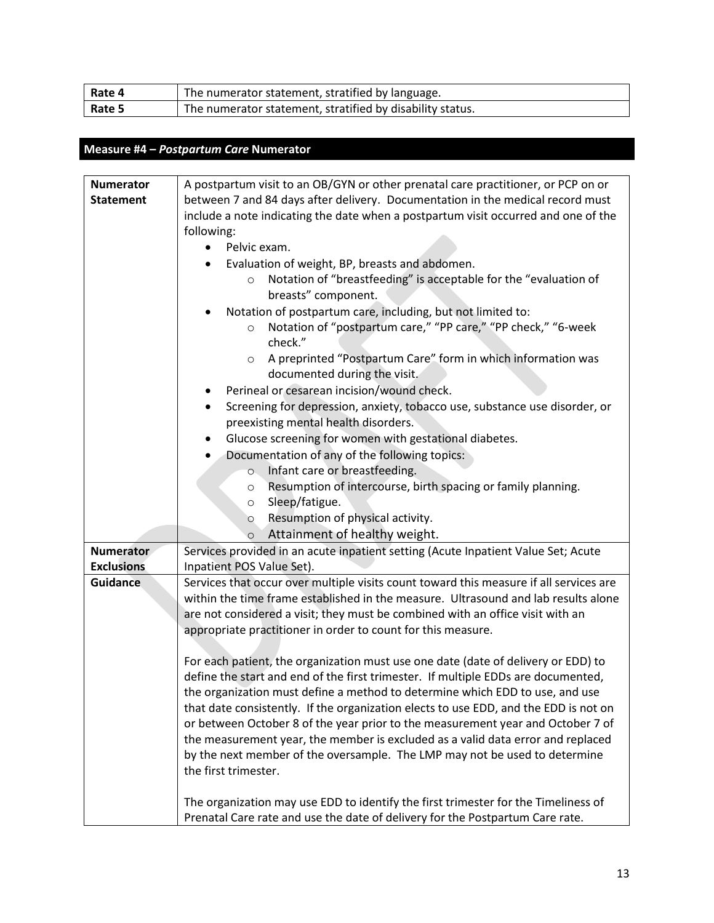| Rate 4 | The numerator statement, stratified by language.          |
|--------|-----------------------------------------------------------|
| Rate 5 | The numerator statement, stratified by disability status. |

# **Measure #4 –** *Postpartum Care* **Numerator**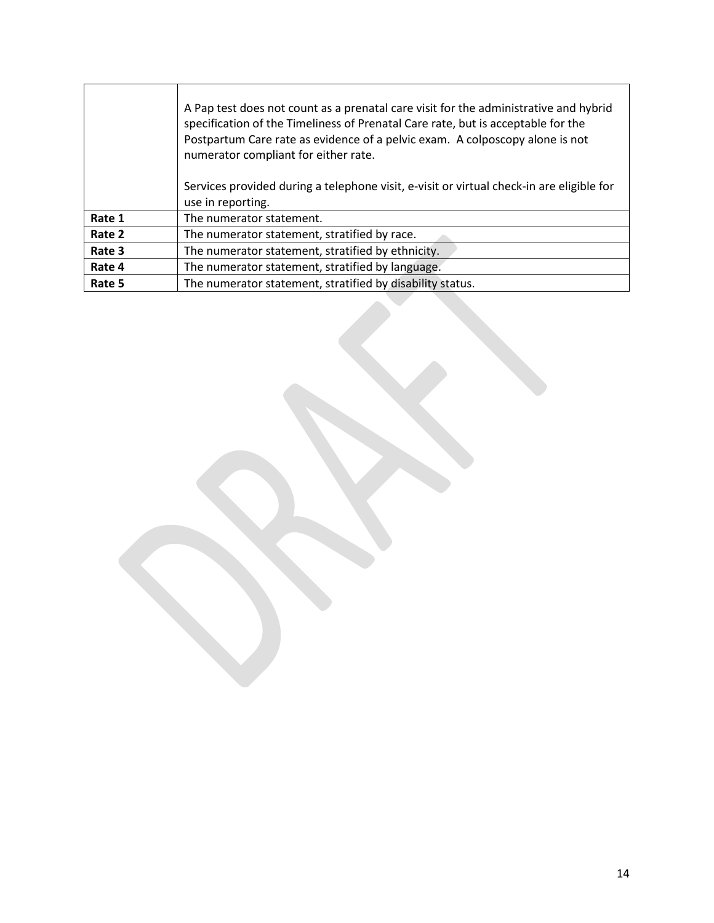|        | A Pap test does not count as a prenatal care visit for the administrative and hybrid<br>specification of the Timeliness of Prenatal Care rate, but is acceptable for the<br>Postpartum Care rate as evidence of a pelvic exam. A colposcopy alone is not<br>numerator compliant for either rate. |
|--------|--------------------------------------------------------------------------------------------------------------------------------------------------------------------------------------------------------------------------------------------------------------------------------------------------|
|        | Services provided during a telephone visit, e-visit or virtual check-in are eligible for                                                                                                                                                                                                         |
|        | use in reporting.                                                                                                                                                                                                                                                                                |
| Rate 1 | The numerator statement.                                                                                                                                                                                                                                                                         |
| Rate 2 | The numerator statement, stratified by race.                                                                                                                                                                                                                                                     |
| Rate 3 | The numerator statement, stratified by ethnicity.                                                                                                                                                                                                                                                |
| Rate 4 | The numerator statement, stratified by language.                                                                                                                                                                                                                                                 |
| Rate 5 | The numerator statement, stratified by disability status.                                                                                                                                                                                                                                        |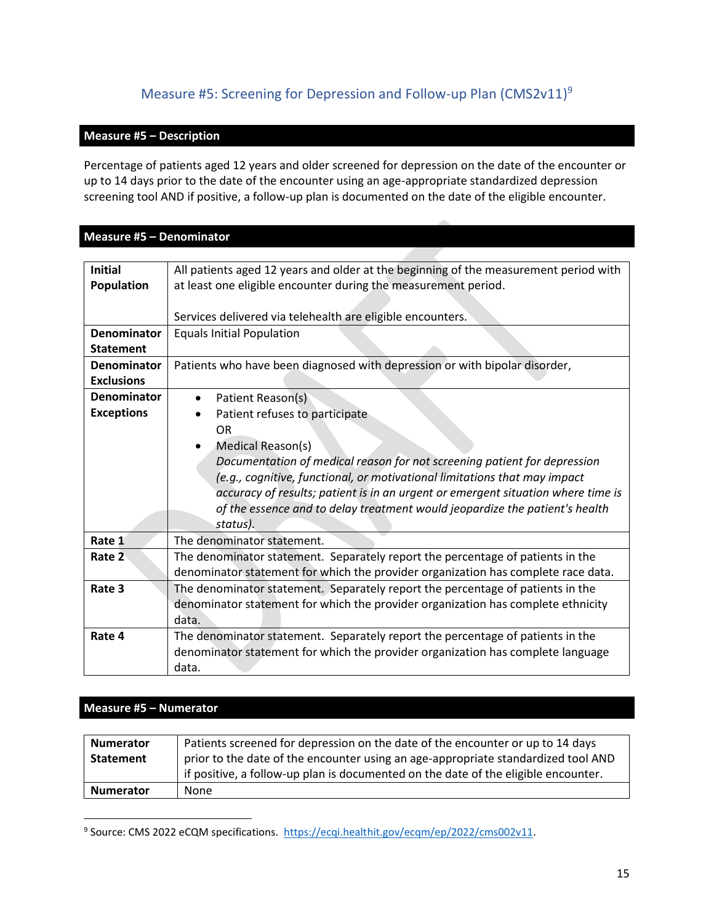# Measure #5: Screening for Depression and Follow-up Plan (CMS2v11)<sup>9</sup>

#### <span id="page-14-0"></span>**Measure #5 – Description**

Percentage of patients aged 12 years and older screened for depression on the date of the encounter or up to 14 days prior to the date of the encounter using an age-appropriate standardized depression screening tool AND if positive, a follow-up plan is documented on the date of the eligible encounter.

#### **Measure #5 – Denominator**

| <b>Initial</b>     | All patients aged 12 years and older at the beginning of the measurement period with |
|--------------------|--------------------------------------------------------------------------------------|
| <b>Population</b>  | at least one eligible encounter during the measurement period.                       |
|                    |                                                                                      |
|                    | Services delivered via telehealth are eligible encounters.                           |
| <b>Denominator</b> | <b>Equals Initial Population</b>                                                     |
| <b>Statement</b>   |                                                                                      |
| <b>Denominator</b> | Patients who have been diagnosed with depression or with bipolar disorder,           |
| <b>Exclusions</b>  |                                                                                      |
| <b>Denominator</b> | Patient Reason(s)<br>$\bullet$                                                       |
| <b>Exceptions</b>  | Patient refuses to participate                                                       |
|                    | <b>OR</b>                                                                            |
|                    | Medical Reason(s)                                                                    |
|                    | Documentation of medical reason for not screening patient for depression             |
|                    | (e.g., cognitive, functional, or motivational limitations that may impact            |
|                    | accuracy of results; patient is in an urgent or emergent situation where time is     |
|                    | of the essence and to delay treatment would jeopardize the patient's health          |
|                    | status).                                                                             |
| Rate 1             | The denominator statement.                                                           |
| Rate 2             | The denominator statement. Separately report the percentage of patients in the       |
|                    | denominator statement for which the provider organization has complete race data.    |
| Rate 3             |                                                                                      |
|                    | The denominator statement. Separately report the percentage of patients in the       |
|                    | denominator statement for which the provider organization has complete ethnicity     |
|                    | data.                                                                                |
| Rate 4             | The denominator statement. Separately report the percentage of patients in the       |
|                    | denominator statement for which the provider organization has complete language      |
|                    | data.                                                                                |

#### **Measure #5 – Numerator**

| <b>Numerator</b> | Patients screened for depression on the date of the encounter or up to 14 days     |
|------------------|------------------------------------------------------------------------------------|
| Statement        | prior to the date of the encounter using an age-appropriate standardized tool AND  |
|                  | if positive, a follow-up plan is documented on the date of the eligible encounter. |
| <b>Numerator</b> | None                                                                               |

<sup>&</sup>lt;sup>9</sup> Source: CMS 2022 eCQM specifications. [https://ecqi.healthit.gov/ecqm/ep/2022/cms002v11.](https://ecqi.healthit.gov/ecqm/ep/2022/cms002v11)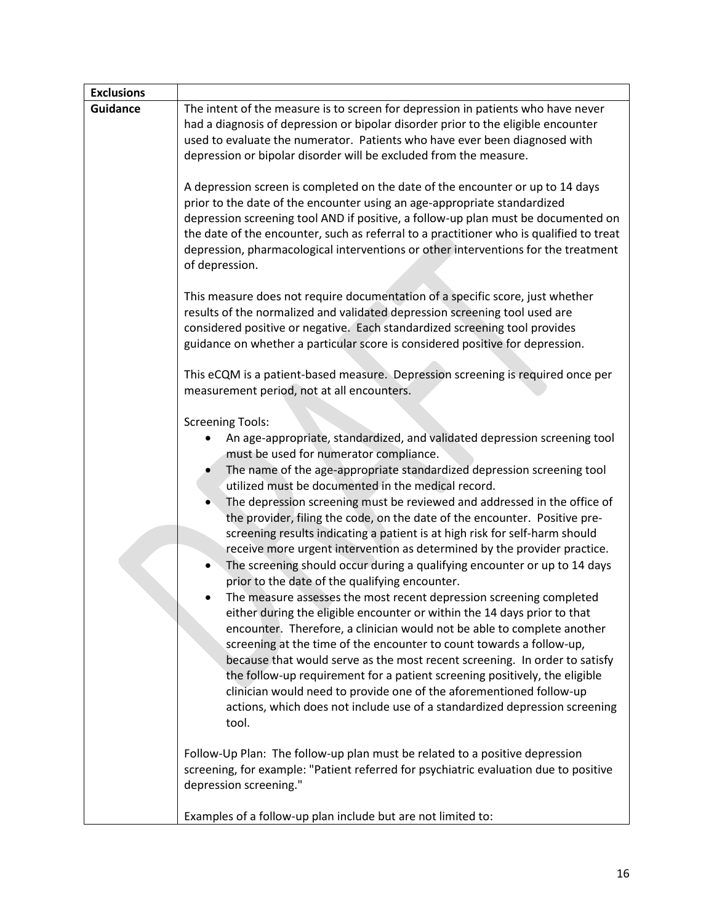| <b>Exclusions</b> |                                                                                                                                                                                                                                                                                                                                                                                                                                                                                                                                                                                                                                                                                                                                                                                                                                                                                                                                                                                                                                                                                                                                                                                                                                                                                                                                                                    |
|-------------------|--------------------------------------------------------------------------------------------------------------------------------------------------------------------------------------------------------------------------------------------------------------------------------------------------------------------------------------------------------------------------------------------------------------------------------------------------------------------------------------------------------------------------------------------------------------------------------------------------------------------------------------------------------------------------------------------------------------------------------------------------------------------------------------------------------------------------------------------------------------------------------------------------------------------------------------------------------------------------------------------------------------------------------------------------------------------------------------------------------------------------------------------------------------------------------------------------------------------------------------------------------------------------------------------------------------------------------------------------------------------|
| <b>Guidance</b>   | The intent of the measure is to screen for depression in patients who have never<br>had a diagnosis of depression or bipolar disorder prior to the eligible encounter<br>used to evaluate the numerator. Patients who have ever been diagnosed with<br>depression or bipolar disorder will be excluded from the measure.                                                                                                                                                                                                                                                                                                                                                                                                                                                                                                                                                                                                                                                                                                                                                                                                                                                                                                                                                                                                                                           |
|                   | A depression screen is completed on the date of the encounter or up to 14 days<br>prior to the date of the encounter using an age-appropriate standardized<br>depression screening tool AND if positive, a follow-up plan must be documented on<br>the date of the encounter, such as referral to a practitioner who is qualified to treat<br>depression, pharmacological interventions or other interventions for the treatment<br>of depression.<br>This measure does not require documentation of a specific score, just whether<br>results of the normalized and validated depression screening tool used are<br>considered positive or negative. Each standardized screening tool provides<br>guidance on whether a particular score is considered positive for depression.                                                                                                                                                                                                                                                                                                                                                                                                                                                                                                                                                                                   |
|                   | This eCQM is a patient-based measure. Depression screening is required once per<br>measurement period, not at all encounters.                                                                                                                                                                                                                                                                                                                                                                                                                                                                                                                                                                                                                                                                                                                                                                                                                                                                                                                                                                                                                                                                                                                                                                                                                                      |
|                   | <b>Screening Tools:</b><br>An age-appropriate, standardized, and validated depression screening tool<br>must be used for numerator compliance.<br>The name of the age-appropriate standardized depression screening tool<br>utilized must be documented in the medical record.<br>The depression screening must be reviewed and addressed in the office of<br>the provider, filing the code, on the date of the encounter. Positive pre-<br>screening results indicating a patient is at high risk for self-harm should<br>receive more urgent intervention as determined by the provider practice.<br>The screening should occur during a qualifying encounter or up to 14 days<br>prior to the date of the qualifying encounter.<br>The measure assesses the most recent depression screening completed<br>either during the eligible encounter or within the 14 days prior to that<br>encounter. Therefore, a clinician would not be able to complete another<br>screening at the time of the encounter to count towards a follow-up,<br>because that would serve as the most recent screening. In order to satisfy<br>the follow-up requirement for a patient screening positively, the eligible<br>clinician would need to provide one of the aforementioned follow-up<br>actions, which does not include use of a standardized depression screening<br>tool. |
|                   | Follow-Up Plan: The follow-up plan must be related to a positive depression<br>screening, for example: "Patient referred for psychiatric evaluation due to positive<br>depression screening."                                                                                                                                                                                                                                                                                                                                                                                                                                                                                                                                                                                                                                                                                                                                                                                                                                                                                                                                                                                                                                                                                                                                                                      |
|                   | Examples of a follow-up plan include but are not limited to:                                                                                                                                                                                                                                                                                                                                                                                                                                                                                                                                                                                                                                                                                                                                                                                                                                                                                                                                                                                                                                                                                                                                                                                                                                                                                                       |